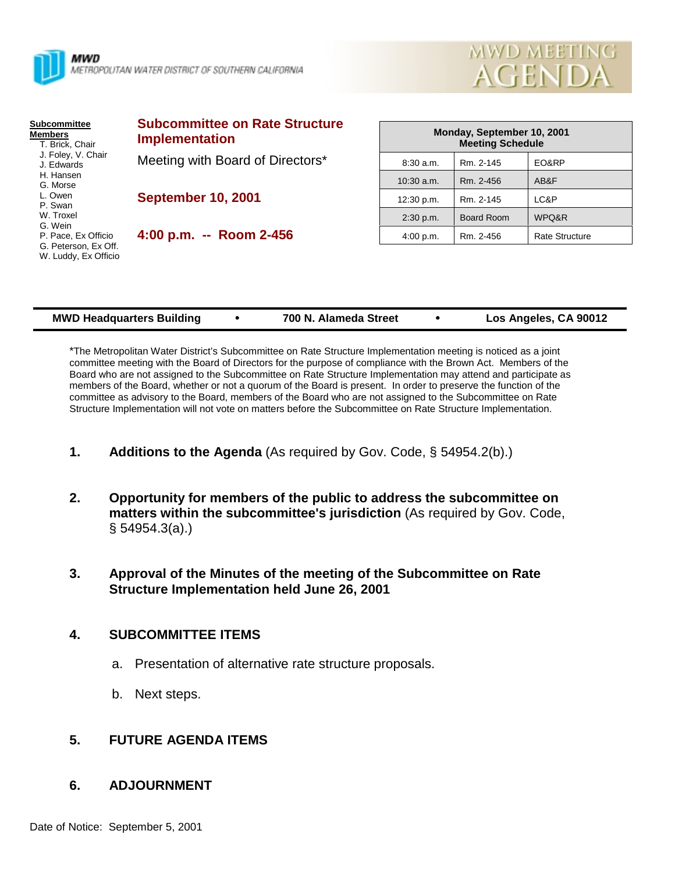



| <b>Subcommittee</b><br><b>Members</b><br>T. Brick, Chair<br>J. Foley, V. Chair<br>J. Edwards<br>H. Hansen<br>G. Morse | <b>Subcommittee on Rate Structure</b><br><b>Implementation</b> |              | Monday, September 10, 2001<br><b>Meeting Schedule</b> |                       |
|-----------------------------------------------------------------------------------------------------------------------|----------------------------------------------------------------|--------------|-------------------------------------------------------|-----------------------|
|                                                                                                                       | Meeting with Board of Directors*                               | 8:30a.m.     | Rm. 2-145                                             | EO&RP                 |
|                                                                                                                       |                                                                | $10:30$ a.m. | Rm. 2-456                                             | AB&F                  |
| L. Owen<br>P. Swan<br>W. Troxel<br>G. Wein                                                                            | <b>September 10, 2001</b>                                      | 12:30 p.m.   | Rm. 2-145                                             | LC&P                  |
|                                                                                                                       |                                                                | $2:30$ p.m.  | Board Room                                            | WPQ&R                 |
| P. Pace, Ex Officio                                                                                                   | 4:00 p.m. -- Room 2-456                                        | 4:00 p.m.    | Rm. 2-456                                             | <b>Rate Structure</b> |
| G. Peterson. Ex Off.<br>W. Luddy, Ex Officio                                                                          |                                                                |              |                                                       |                       |

| <b>MWD Headquarters Building</b> | 700 N. Alameda Street |  | Los Angeles, CA 90012 |
|----------------------------------|-----------------------|--|-----------------------|
|----------------------------------|-----------------------|--|-----------------------|

\*The Metropolitan Water District's Subcommittee on Rate Structure Implementation meeting is noticed as a joint committee meeting with the Board of Directors for the purpose of compliance with the Brown Act. Members of the Board who are not assigned to the Subcommittee on Rate Structure Implementation may attend and participate as members of the Board, whether or not a quorum of the Board is present. In order to preserve the function of the committee as advisory to the Board, members of the Board who are not assigned to the Subcommittee on Rate Structure Implementation will not vote on matters before the Subcommittee on Rate Structure Implementation.

- **1. Additions to the Agenda** (As required by Gov. Code, § 54954.2(b).)
- **2. Opportunity for members of the public to address the subcommittee on matters within the subcommittee's jurisdiction** (As required by Gov. Code, § 54954.3(a).)
- **3. Approval of the Minutes of the meeting of the Subcommittee on Rate Structure Implementation held June 26, 2001**

## **4. SUBCOMMITTEE ITEMS**

- a. Presentation of alternative rate structure proposals.
- b. Next steps.

## **5. FUTURE AGENDA ITEMS**

## **6. ADJOURNMENT**

Date of Notice: September 5, 2001